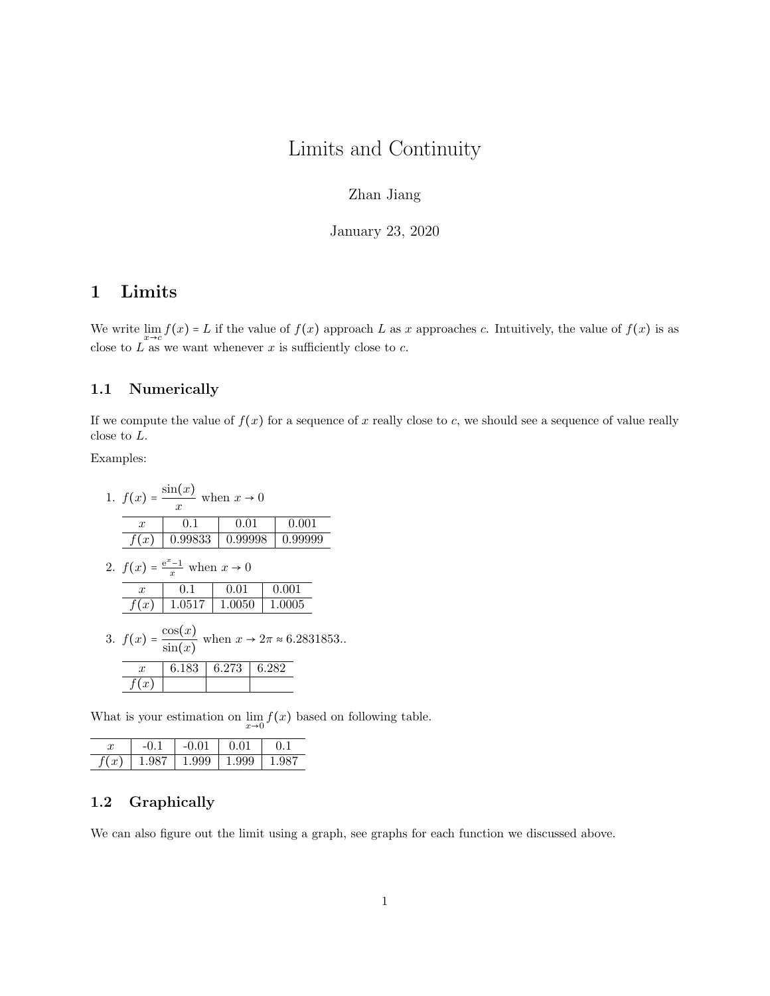# Limits and Continuity

### Zhan Jiang

January 23, 2020

## 1 Limits

We write  $\lim_{x\to c} f(x) = L$  if the value of  $f(x)$  approach L as x approaches c. Intuitively, the value of  $f(x)$  is as close to L as we want whenever x is sufficiently close to c.

### 1.1 Numerically

If we compute the value of  $f(x)$  for a sequence of x really close to c, we should see a sequence of value really close to L.

Examples:

| 1. $f(x) = \frac{\sin(x)}{\sin(x)}$ when $x \to 0$<br>$\boldsymbol{x}$    |         |      |         |  |       |         |  |  |  |  |  |
|---------------------------------------------------------------------------|---------|------|---------|--|-------|---------|--|--|--|--|--|
| $\boldsymbol{x}$                                                          | 0.1     | 0.01 |         |  |       | 0.001   |  |  |  |  |  |
| f(x)                                                                      | 0.99833 |      | 0.99998 |  |       | 0.99999 |  |  |  |  |  |
| 2. $f(x) = \frac{e^x - 1}{x}$ when $x \to 0$                              |         |      |         |  |       |         |  |  |  |  |  |
| $\boldsymbol{x}$                                                          | 0.1     |      | 0.01    |  |       | 0.001   |  |  |  |  |  |
| f(x)                                                                      | 1.0517  |      | 1.0050  |  |       | 1.0005  |  |  |  |  |  |
| 3. $f(x) = \frac{\cos(x)}{\sin(x)}$ when $x \to 2\pi \approx 6.2831853$ . |         |      |         |  |       |         |  |  |  |  |  |
| $\boldsymbol{x}$                                                          | 6.183   |      | 6.273   |  | 6.282 |         |  |  |  |  |  |
| $\boldsymbol{x}$                                                          |         |      |         |  |       |         |  |  |  |  |  |

What is your estimation on  $\lim_{x\to 0} f(x)$  based on following table.

|            |              | -0.01 | .           |  |
|------------|--------------|-------|-------------|--|
| f(x)<br>., | $\mathbf{L}$ | 1.999 | $\pm 1.999$ |  |

### 1.2 Graphically

We can also figure out the limit using a graph, see graphs for each function we discussed above.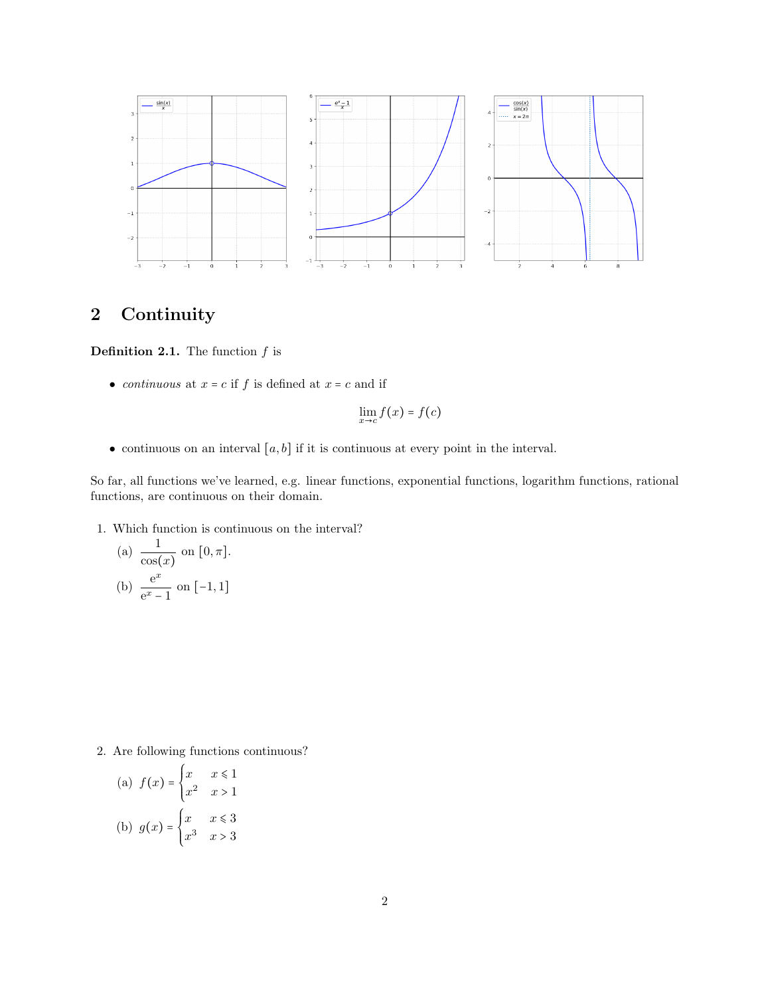

## 2 Continuity

**Definition 2.1.** The function  $f$  is

• continuous at  $x = c$  if f is defined at  $x = c$  and if

$$
\lim_{x \to c} f(x) = f(c)
$$

• continuous on an interval  $[a, b]$  if it is continuous at every point in the interval.

So far, all functions we've learned, e.g. linear functions, exponential functions, logarithm functions, rational functions, are continuous on their domain.

1. Which function is continuous on the interval?

(a) 
$$
\frac{1}{\cos(x)}
$$
 on  $[0, \pi]$ .  
(b)  $\frac{e^x}{e^x - 1}$  on  $[-1, 1]$ 

2. Are following functions continuous?

(a) 
$$
f(x) = \begin{cases} x & x \le 1 \\ x^2 & x > 1 \end{cases}
$$
  
(b) 
$$
g(x) = \begin{cases} x & x \le 3 \\ x^3 & x > 3 \end{cases}
$$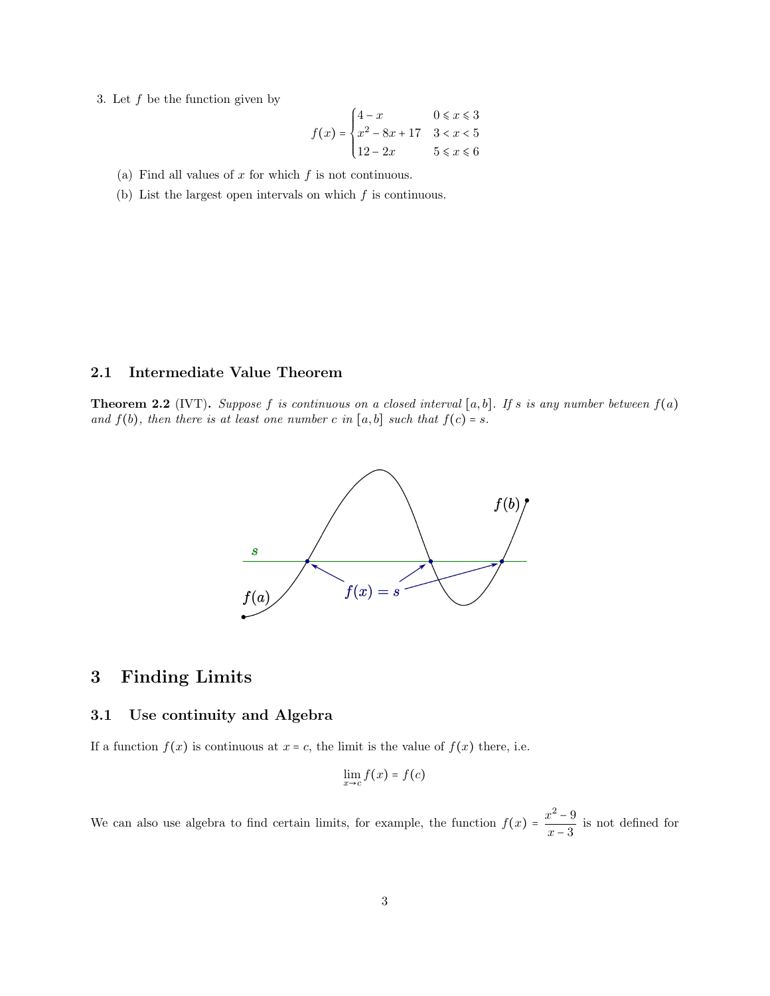3. Let  $f$  be the function given by

$$
f(x) = \begin{cases} 4 - x & 0 \le x \le 3 \\ x^2 - 8x + 17 & 3 < x < 5 \\ 12 - 2x & 5 \le x \le 6 \end{cases}
$$

- (a) Find all values of  $x$  for which  $f$  is not continuous.
- (b) List the largest open intervals on which  $f$  is continuous.

### 2.1 Intermediate Value Theorem

**Theorem 2.2** (IVT). Suppose f is continuous on a closed interval [a, b]. If s is any number between  $f(a)$ and  $f(b)$ , then there is at least one number c in  $[a, b]$  such that  $f(c) = s$ .



### 3 Finding Limits

### 3.1 Use continuity and Algebra

If a function  $f(x)$  is continuous at  $x = c$ , the limit is the value of  $f(x)$  there, i.e.

$$
\lim_{x\to c} f(x) = f(c)
$$

We can also use algebra to find certain limits, for example, the function  $f(x) = \frac{x^2 - 9}{x^2 - 9}$  $\frac{6}{x-3}$  is not defined for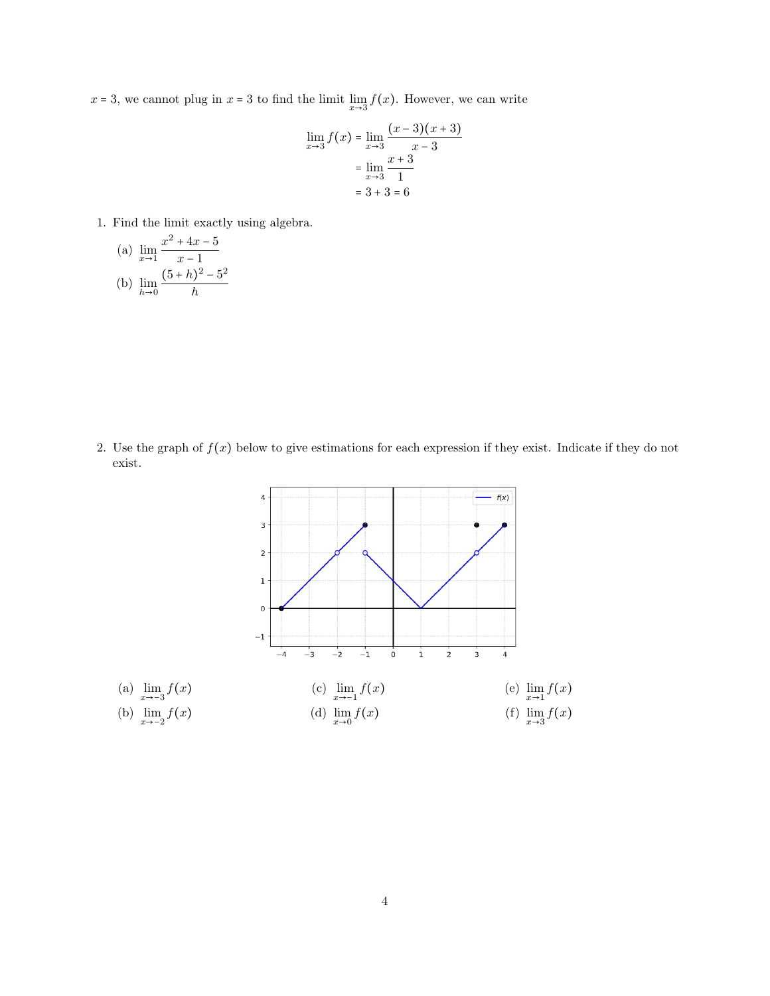$x = 3$ , we cannot plug in  $x = 3$  to find the limit  $\lim_{x \to 3} f(x)$ . However, we can write

$$
\lim_{x \to 3} f(x) = \lim_{x \to 3} \frac{(x-3)(x+3)}{x-3}
$$

$$
= \lim_{x \to 3} \frac{x+3}{1}
$$

$$
= 3+3=6
$$

1. Find the limit exactly using algebra.

(a) 
$$
\lim_{x \to 1} \frac{x^2 + 4x - 5}{x - 1}
$$
  
(b) 
$$
\lim_{h \to 0} \frac{(5 + h)^2 - 5^2}{h}
$$

2. Use the graph of  $f(x)$  below to give estimations for each expression if they exist. Indicate if they do not exist.

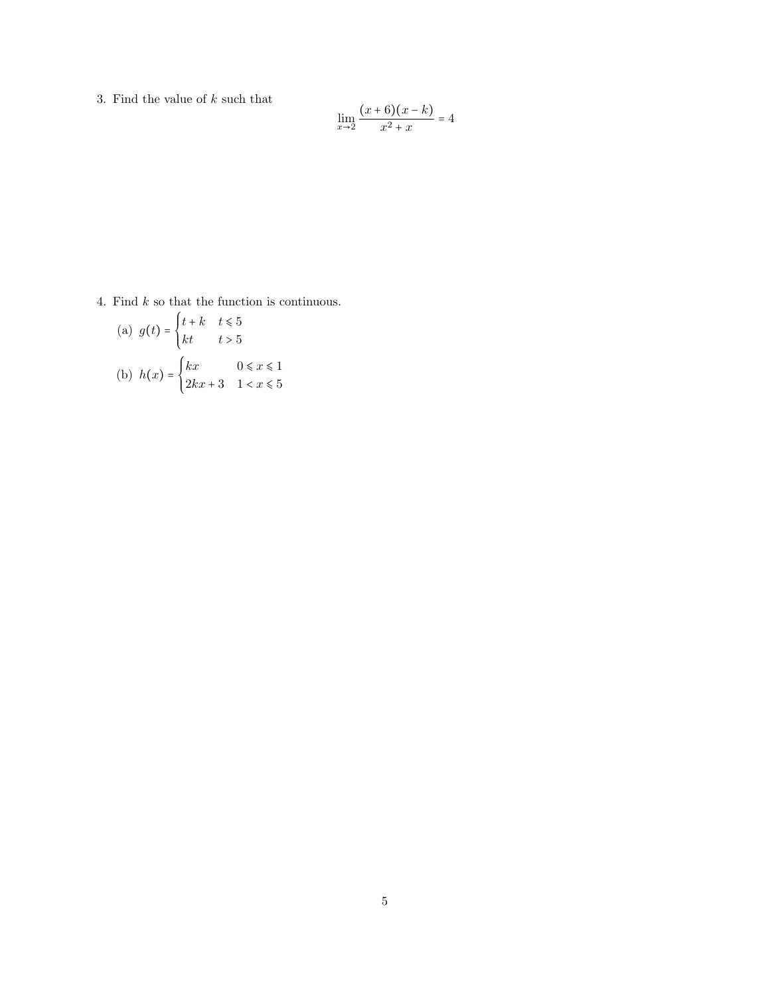3. Find the value of  $k$  such that

$$
\lim_{x \to 2} \frac{(x+6)(x-k)}{x^2 + x} = 4
$$

4. Find  $k$  so that the function is continuous.

(a) 
$$
g(t) = \begin{cases} t+k & t \le 5 \\ kt & t > 5 \end{cases}
$$
  
\n(b)  $h(x) = \begin{cases} kx & 0 \le x \le 1 \\ 2kx + 3 & 1 < x \le 5 \end{cases}$